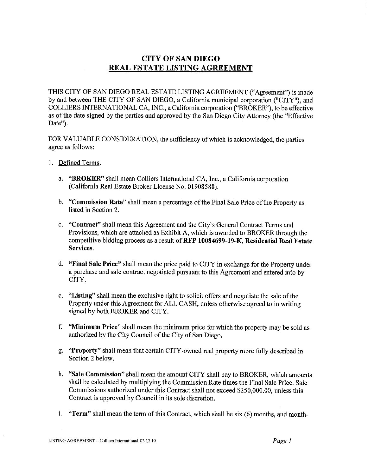## **CITY OF SAN DIEGO REAL ESTATE LISTING AGREEMENT**

THIS CITY OF SAN DIEGO REAL ESTATE LISTING AGREEMENT ("Agreement") is made by and between THE CITY OF SAN DIEGO, a California municipal corporation ("CITY"), and COLLIERS INTERNATIONAL CA, INC., a California corporation ("BROKER"), to be effective as of the date signed by the parties and approved by the San Diego City Attorney (the "Effective Date").

FOR VALUABLE CONSIDERATION, the sufficiency of which is acknowledged, the parties agree as follows:

- 1. Defined Terms.
	- a. **"BROKER"** shall mean Colliers International CA, Inc., a California corporation (California Real Estate Broker License No. 01908588).
	- **b. "Commission Rate"** shall mean a percentage of the Final Sale Price of the Property as listed in Section 2.
	- c. **"Contract"** shall mean this Agreement and the City's General Contract Terms and Provisions, which are attached as Exhibit A, which is awarded to BROKER through the competitive bidding process as a result **ofRFP 10084699-19-K, Residential Real Estate Services.**
	- d. **"Final Sale Price"** shall mean the price paid to CITY in exchange for the Property under a purchase and sale contract negotiated pursuant to this Agreement and entered into by CITY.
	- e. **"Listing"** shall mean the exclusive right to solicit offers and negotiate the sale of the Property under this Agreement for ALL CASH, unless otherwise agreed to in writing signed by both BROKER and CITY.
	- f. **"Minimum Price"** shall mean the minimum price for which the property may be sold as authorized by the City Council of the City of San Diego.
	- g. **"Property"** shall mean that certain CITY-owned real property more fully described in Section 2 below.
	- **h. "Sale Commission"** shall mean the amount CITY shall pay to BROKER, which amounts shall be calculated by multiplying the Commission Rate times the Final Sale Price. Sale Commissions authorized under this Contract shall not exceed \$250,000.00, unless this Contract is approved by Council in its sole discretion.
	- i. **"Term"** shall mean the term of this Contract, which shall be six (6) months, and month-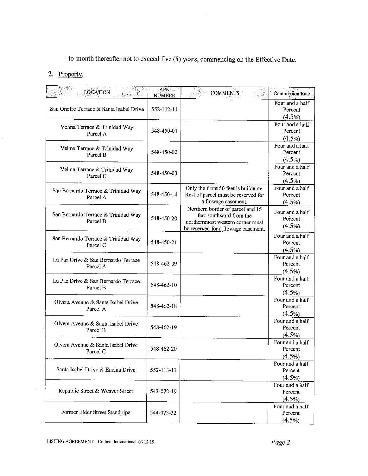to-month thereafter not to exceed five (5) years, commencing on the Effective Date.

## 2. Property.

| <b>LOCATION</b><br>de as Ste                    | <b>APN</b><br><b>NUMBER</b> | <b>COMMENTS</b>                                                                                                                        | <b>Commission Rate</b>                  |
|-------------------------------------------------|-----------------------------|----------------------------------------------------------------------------------------------------------------------------------------|-----------------------------------------|
| San Onofre Terrace & Santa Isabel Drive         | 552-112-11                  |                                                                                                                                        | Four and a half<br>Percent<br>(4.5%)    |
| Velma Terrace & Trinidad Way<br>Parcel A        | 548-450-01                  |                                                                                                                                        | Four and a half<br>Percent<br>(4.5%)    |
| Velma Terrace & Trinidad Way<br>Parcel B        | 548-450-02                  |                                                                                                                                        | Four and a half<br>Percent<br>(4.5%)    |
| Velma Terrace & Trinidad Way<br>Parcel C        | 548-450-03                  |                                                                                                                                        | Four and a half<br>Percent<br>$(4.5\%)$ |
| San Bernardo Terrace & Trinidad Way<br>Parcel A | 548-450-14                  | Only the front 50 feet is buildable.<br>Rest of parcel must be reserved for<br>a flowage easement.                                     | Four and a half<br>Percent<br>(4.5%)    |
| San Bernardo Terrace & Trinidad Way<br>Parcel B | 548-450-20                  | Northern border of parcel and 15<br>feet southward from the<br>northernmost western corner must<br>be reserved for a flowage easement. | Four and a half<br>Percent<br>(4.5%)    |
| San Bernardo Terrace & Trinidad Way<br>Parcel C | 548-450-21                  |                                                                                                                                        | Four and a half<br>Percent<br>(4.5%)    |
| La Paz Drive & San Bernardo Terrace<br>Parcel A | 548-462-09                  |                                                                                                                                        | Four and a half<br>Percent<br>(4.5%)    |
| La Paz Drive & San Bernardo Terrace<br>Parcel B | 548-462-10                  |                                                                                                                                        | Four and a half<br>Percent<br>(4.5%)    |
| Olvera Avenue & Santa Isabel Drive<br>Parcel A  | 548-462-18                  |                                                                                                                                        | Four and a half<br>Percent<br>$(4.5\%)$ |
| Olvera Avenue & Santa Isabel Drive<br>Parcel B  | 548-462-19                  |                                                                                                                                        | Four and a half<br>Percent<br>(4.5%)    |
| Olvera Avenue & Santa Isabel Drive<br>Parcel C  | 548-462-20                  |                                                                                                                                        | Four and a half<br>Percent<br>(4.5%)    |
| Santa Isabel Drive & Encina Drive               | 552-113-11                  |                                                                                                                                        | Four and a half<br>Percent<br>(4.5%)    |
| Republic Street & Weaver Street                 | 543-072-19                  |                                                                                                                                        | Four and a half<br>Percent<br>(4.5%)    |
| Former Eider Street Standpipe                   | 544-073-32                  |                                                                                                                                        | Four and a half<br>Percent<br>(4.5%)    |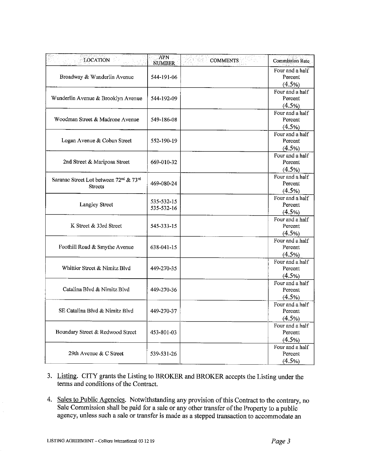| <b>LOCATION</b>                                                                  | <b>APN</b><br><b>NUMBER</b> | <b>COMMENTS</b> | <b>Commission Rate</b>                  |
|----------------------------------------------------------------------------------|-----------------------------|-----------------|-----------------------------------------|
| Broadway & Wunderlin Avenue                                                      | 544-191-06                  |                 | Four and a half<br>Percent<br>(4.5%)    |
| Wunderlin Avenue & Brooklyn Avenue                                               | 544-192-09                  |                 | Four and a half<br>Percent<br>(4.5%)    |
| Woodman Street & Madrone Avenue                                                  | 549-186-08                  |                 | Four and a half<br>Percent<br>(4.5%)    |
| Logan Avenue & Coban Street                                                      | 552-190-19                  |                 | Four and a half<br>Percent<br>$(4.5\%)$ |
| 2nd Street & Mariposa Street                                                     | 669-010-32                  |                 | Four and a half<br>Percent<br>(4.5%)    |
| Saranac Street Lot between 72 <sup>nd</sup> & 73 <sup>rd</sup><br><b>Streets</b> | 469-080-24                  |                 | Four and a half<br>Percent<br>(4.5%)    |
| Langley Street                                                                   | 535-532-15<br>535-532-16    |                 | Four and a half<br>Percent<br>(4.5%)    |
| K Street & 33rd Street                                                           | 545-333-15                  |                 | Four and a half<br>Percent<br>(4.5%)    |
| Foothill Road & Smythe Avenue                                                    | 638-041-15                  |                 | Four and a half<br>Percent<br>(4.5%)    |
| Whittier Street & Nimitz Blvd                                                    | 449-270-35                  |                 | Four and a half<br>Percent<br>(4.5%)    |
| Catalina Blyd & Nimitz Blyd                                                      | 449-270-36                  |                 | Four and a half<br>Percent<br>(4.5%)    |
| SE Catalina Blvd & Nimitz Blvd                                                   | 449-270-37                  |                 | Four and a half<br>Percent<br>(4.5%)    |
| Boundary Street & Redwood Street                                                 | 453-801-03                  |                 | Four and a half<br>Percent<br>(4.5%)    |
| 29th Avenue & C Street                                                           | 539-531-26                  |                 | Four and a half<br>Percent<br>(4.5%)    |

- 3. Listing. CITY grants the Listing to BROKER and BROKER accepts the Listing under the terms and conditions of the Contract.
- 4. Sales to Public Agencies. Notwithstanding any provision of this Contract to the contrary, no Sale Commission shall be paid for a sale or any other transfer of the Property to a public agency, unless such a sale or transfer is made as a stepped transaction to accommodate an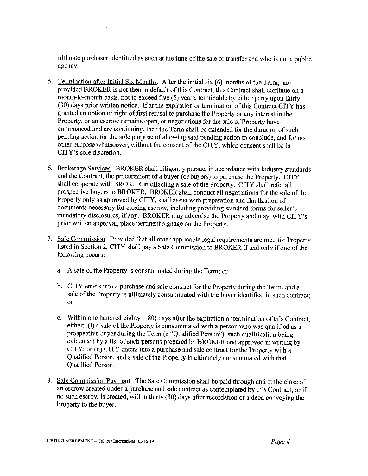ultimate purchaser identified as such at the time of the sale or transfer and who is not a public agency.

- 5. Termination after Initial Six Months. After the initial six (6) months of the Term, and provided BROKER is not then in default of this Contract, this Contract shall continue on a month-to-month basis, not to exceed five (5) years, terminable by either party upon thirty (30) days prior written notice. If at the expiration or termination of this Contract CITY has granted an option or right of first refusal to purchase the Property or any interest in the Property, or an escrow remains open, or negotiations for the sale of Property have commenced and are continuing, then the Term shall be extended for the duration of such pending action for the sole purpose of allowing said pending action to conclude, and for no other purpose whatsoever, without the consent of the CITY, which consent shall be in CITY's sole discretion.
- 6. Brokerage Services. BROKER shall diligently pursue, in accordance with industry standards and the Contract, the procurement of a buyer (or buyers) to purchase the Property. CITY shall cooperate with BROKER in effecting a sale of the Property. CITY shall refer all prospective buyers to BROKER. BROKER shall conduct all negotiations for the sale of the Property only as approved by CITY, shall assist with preparation and finalization of documents necessary for closing escrow, including providing standard forms for seller's mandatory disclosures, if any. BROKER may advertise the Property and may, with CITY's prior written approval, place pertinent signage on the Property.
- 7. Sale Commission. Provided that all other applicable legal requirements are met, for Property listed in Section 2, CITY shall pay a Sale Commission to BROKER if and only if one of the following occurs:
	- a. A sale of the Property is consummated during the Term; or
	- b. CITY enters into a purchase and sale contract for the Property during the Term, and a sale of the Property is ultimately consummated with the buyer identified in such contract; or
	- c. Within one hundred eighty (180) days after the expiration or termination of this Contract, either: (i) a sale of the Property is consummated with a person who was qualified as a prospective buyer during the Term (a "Qualified Person"), such qualification being evidenced by a list of such persons prepared by BROKER and approved in writing by CITY; or (ii) CITY enters into a purchase and sale contract for the Property with a Qualified Person, and a sale of the Property is ultimately consummated with that Qualified Person.
- 8. Sale Commission Payment. The Sale Commission shall be paid through and at the close of an escrow created under a purchase and sale contract as contemplated by this Contract, or if no such escrow is created, within thirty (30) days after recordation of a deed conveying the Property to the buyer.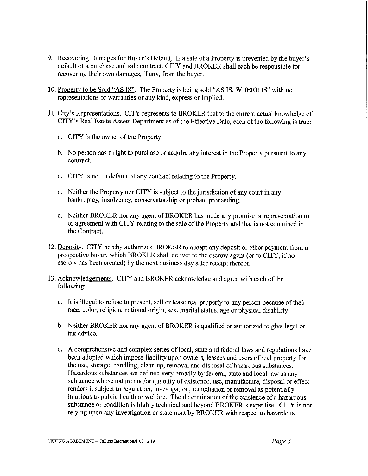- 9. Recovering Damages for Buyer's Default. If a sale of a Property is prevented by the buyer's default of a purchase and sale contract, CITY and BROKER shall each be responsible for recovering their own damages, if any, from the buyer.
- 10. Property to be Sold "AS IS". The Property is being sold "AS IS, WHERE IS" with no representations or warranties of any kind, express or implied.
- 11. City's Representations. CITY represents to BROKER that to the current actual knowledge of CITY's Real Estate Assets Department as of the Effective Date, each of the following is true:
	- a. CITY is the owner of the Property.
	- b. No person has a right to purchase or acquire any interest in the Property pursuant to any contract.
	- c. CITY is not in default of any contract relating to the Property.
	- d. Neither the Property nor CITY is subject to the jurisdiction of any court in any bankruptcy, insolvency, conservatorship or probate proceeding.
	- e. Neither BROKER nor any agent of BROKER has made any promise or representation to or agreement with CITY relating to the sale of the Property and that is not contained in the Contract.
- 12. Deposits. CITY hereby authorizes BROKER to accept any deposit or other payment from a prospective buyer, which BROKER shall deliver to the escrow agent (or to CITY, ifno escrow has been created) by the next business day after receipt thereof.
- 13. Acknowledgements. CITY and BROKER acknowledge and agree with each of the following:
	- a. It is illegal to refuse to present, sell or lease real property to any person because of their race, color, religion, national origin, sex, marital status, age or physical disability.
	- b. Neither BROKER nor any agent of BROKER is qualified or authorized to give legal or tax advice.
	- c. A comprehensive and complex series of local, state and federal laws and regulations have been adopted which impose liability upon owners, lessees and users ofreal property for the use, storage, handling, clean up, removal and disposal of hazardous substances. Hazardous substances are defined very broadly by federal, state and local law as any substance whose nature and/or quantity of existence, use, manufacture, disposal or effect renders it subject to regulation, investigation, remediation or removal as potentially injurious to public health or welfare. The determination of the existence of a hazardous substance or condition is highly technical and beyond BROKER's expertise. CITY is not relying upon any investigation or statement by BROKER with respect to hazardous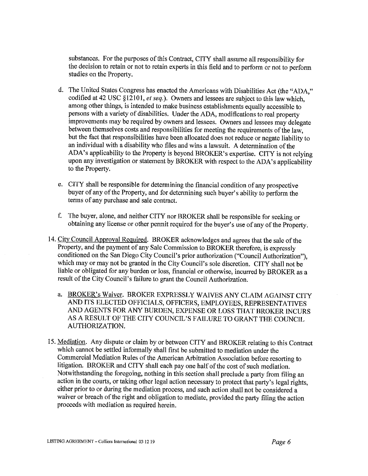substances. For the purposes of this Contract, CITY shall assume all responsibility for the decision to retain or not to retain experts in this field and to perform or not to perform studies on the Property.

- d. The United States Congress has enacted the Americans with Disabilities Act (the "ADA," codified at 42 USC §12101, *et seq.).* Owners and lessees are subject to this law which, among other things, is intended to make business establishments equally accessible to persons with a variety of disabilities. Under the ADA, modifications to real property improvements may be required by owners and lessees. Owners and lessees may delegate between themselves costs and responsibilities for meeting the requirements of the law, but the fact that responsibilities have been allocated does not reduce or negate liability to an individual with a disability who files and wins a lawsuit. A determination of the ADA's applicability to the Property is beyond BROKER's expertise. CITY is not relying upon any investigation or statement by BROKER with respect to the ADA's applicability to the Property.
- e. CITY shall be responsible for determining the financial condition of any prospective buyer of any of the Property, and for determining such buyer's ability to perform the terms of any purchase and sale contract.
- f. The buyer, alone, and neither CITY nor BROKER shall be responsible for seeking or obtaining any license or other permit required for the buyer's use of any of the Property.
- 14. City Council Approval Required. BROKER acknowledges and agrees that the sale of the Property, and the payment of any Sale Commission to BROKER therefore, is expressly conditioned on the San Diego City Council's prior authorization ("Council Authorization"), which may or may not be granted in the City Council's sole discretion. CITY shall not be liable or obligated for any burden or loss, financial or otherwise, incurred by BROKER as a result of the City Council's failure to grant the Council Authorization.
	- a. BROKER's Waiver. BROKER EXPRESSLY WAIVES ANY CLAIM AGAINST CITY AND ITS ELECTED OFFICIALS, OFFICERS, EMPLOYEES, REPRESENTATIVES AND AGENTS FOR ANY BURDEN, EXPENSE OR LOSS THAT BROKER INCURS AS A RESULT OF THE CITY COUNCIL'S FAIL URE TO GRANT THE COUNCIL AUTHORIZATION.
- 15. Mediation. Any dispute or claim by or between CITY and BROKER relating to this Contract which cannot be settled informally shall first be submitted to mediation under the Commercial Mediation Rules of the American Arbitration Association before resorting to litigation. BROKER and CITY shall each pay one half of the cost of such mediation. Notwithstanding the foregoing, nothing in this section shall preclude a party from filing an action in the courts, or taking other legal action necessary to protect that party's legal rights, either prior to or during the mediation process, and such action shall not be considered a waiver or breach of the right and obligation to mediate, provided the party filing the action proceeds with mediation as required herein.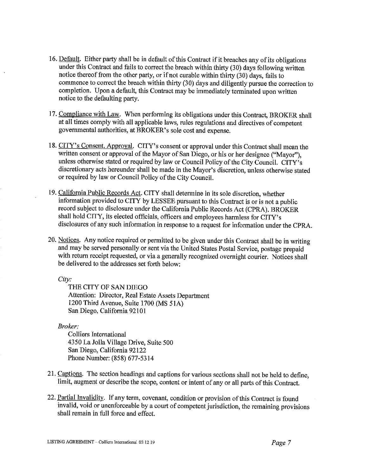- 16. Default. Either party shall be in default of this Contract if it breaches any of its obligations under this Contract and fails to correct the breach within thirty (30) days following written notice thereof from the other party, or if not curable within thirty (30) days, fails to commence to correct the breach within thirty (30) days and diligently pursue the correction to completion. Upon a default, this Contract may be immediately terminated upon written notice to the defaulting party.
- 17. Compliance with Law. When performing its obligations under this Contract, BROKER shall at all times comply with all applicable laws, rules regulations and directives of competent governmental authorities, at BROKER's sole cost and expense.
- 18. CITY's Consent. Approval. CITY's consent or approval under this Contract shall mean the written consent or approval of the Mayor of San Diego, or his or her designee ("Mayor"), unless otherwise stated or required by law or Council Policy of the City Council. CITY's discretionary acts hereunder shall be made in the Mayor's discretion, unless otherwise stated or required by law or Council Policy of the City Council.
- 19. California Public Records Act. CITY shall determine in its sole discretion, whether information provided to CITY by LESSEE pursuant to this Contract is or is not a public record subject to disclosure under the California Public Records Act (CPRA). BROKER shall hold CITY, its elected officials, officers and employees harmless for CITY's disclosures of any such information in response to a request for information under the CPRA.
- 20. Notices. Any notice required or permitted to be given under this Contract shall be in writing .and may be served personally or sent via the United States Postal Service, postage prepaid with return receipt requested, or via a generally recognized overnight courier. Notices shall be delivered to the addresses set forth below:

*City:* 

THE CITY OF SAN DIEGO Attention: Director, Real Estate Assets Department 1200 Third Avenue, Suite 1700 (MS 51A) San Diego, California 92101

*Broker:* 

Colliers International 4350 La Jolla Village Drive, Suite 500 San Diego, California 92122 Phone Number: (858) 677-5314

- 21. Captions. The section headings and captions for various sections shall not be held to define, limit, augment or describe the scope, content or intent of any or all parts of this Contract.
- 22. Partial Invalidity. If any term, covenant, condition or provision of this Contract is found invalid, void or unenforceable by a court of competent jurisdiction, the remaining provisions shall remain in full force and effect.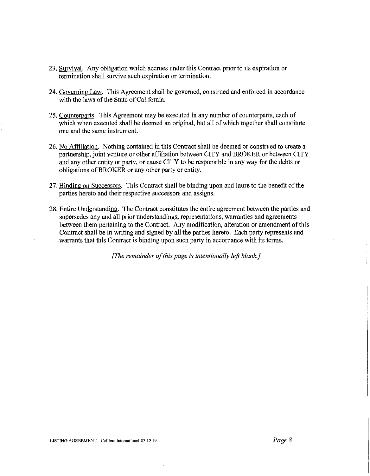- 23. Survival. Any obligation which accrues under this Contract prior to its expiration or termination shall survive such expiration or termination.
- 24. Governing Law. This Agreement shall be governed, construed and enforced in accordance with the laws of the State of California.
- 25. Counterparts. This Agreement may be executed in any number of counterparts, each of which when executed shall be deemed an original, but all of which together shall constitute one and the same instrument.
- 26. No Affiliation. Nothing contained in this Contract shall be deemed or construed to create a partnership, joint venture or other affiliation between CITY and BROKER or between CITY and any other entity or party, or cause CITY to be responsible in any way for the debts or obligations of BROKER or any other party or entity.
- 27. Binding on Successors. This Contract shall be binding upon and inure to the benefit of the parties hereto and their respective successors and assigns.
- 28. Entire Understanding. The Contract constitutes the entire agreement between the parties and supersedes any and all prior understandings, representations, warranties and agreements between them pertaining to the Contract. Any modification, alteration or amendment of this Contract shall be in writing and signed by all the parties hereto. Each party represents and warrants that this Contract is binding upon such party in accordance with its terms.

*[The remainder of this page is intentionally left blank.]*